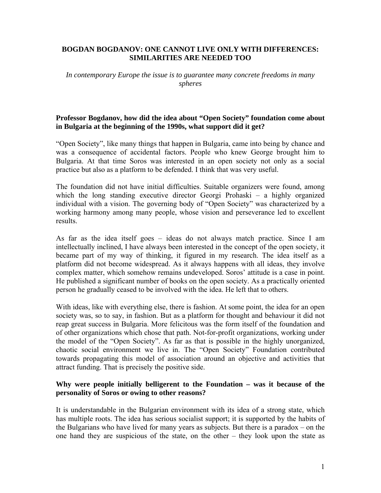## **BOGDAN BOGDANOV: ONE CANNOT LIVE ONLY WITH DIFFERENCES: SIMILARITIES ARE NEEDED TOO**

*In contemporary Europe the issue is to guarantee many concrete freedoms in many spheres* 

## **Professor Bogdanov, how did the idea about "Open Society" foundation come about in Bulgaria at the beginning of the 1990s, what support did it get?**

"Open Society", like many things that happen in Bulgaria, came into being by chance and was a consequence of accidental factors. People who knew George brought him to Bulgaria. At that time Soros was interested in an open society not only as a social practice but also as a platform to be defended. I think that was very useful.

The foundation did not have initial difficulties. Suitable organizers were found, among which the long standing executive director Georgi Prohaski – a highly organized individual with a vision. The governing body of "Open Society" was characterized by a working harmony among many people, whose vision and perseverance led to excellent results.

As far as the idea itself goes – ideas do not always match practice. Since I am intellectually inclined, I have always been interested in the concept of the open society, it became part of my way of thinking, it figured in my research. The idea itself as a platform did not become widespread. As it always happens with all ideas, they involve complex matter, which somehow remains undeveloped. Soros' attitude is a case in point. He published a significant number of books on the open society. As a practically oriented person he gradually ceased to be involved with the idea. He left that to others.

With ideas, like with everything else, there is fashion. At some point, the idea for an open society was, so to say, in fashion. But as a platform for thought and behaviour it did not reap great success in Bulgaria. More felicitous was the form itself of the foundation and of other organizations which chose that path. Not-for-profit organizations, working under the model of the "Open Society". As far as that is possible in the highly unorganized, chaotic social environment we live in. The "Open Society" Foundation contributed towards propagating this model of association around an objective and activities that attract funding. That is precisely the positive side.

## **Why were people initially belligerent to the Foundation – was it because of the personality of Soros or owing to other reasons?**

It is understandable in the Bulgarian environment with its idea of a strong state, which has multiple roots. The idea has serious socialist support; it is supported by the habits of the Bulgarians who have lived for many years as subjects. But there is a paradox – on the one hand they are suspicious of the state, on the other – they look upon the state as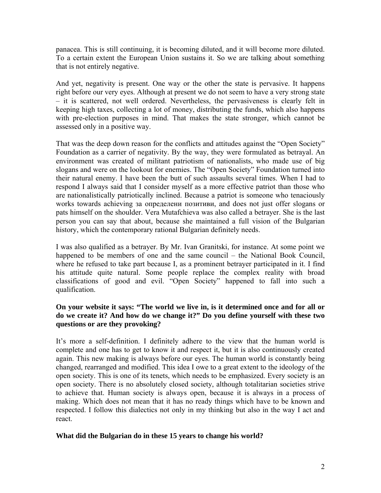panacea. This is still continuing, it is becoming diluted, and it will become more diluted. To a certain extent the European Union sustains it. So we are talking about something that is not entirely negative.

And yet, negativity is present. One way or the other the state is pervasive. It happens right before our very eyes. Although at present we do not seem to have a very strong state – it is scattered, not well ordered. Nevertheless, the pervasiveness is clearly felt in keeping high taxes, collecting a lot of money, distributing the funds, which also happens with pre-election purposes in mind. That makes the state stronger, which cannot be assessed only in a positive way.

That was the deep down reason for the conflicts and attitudes against the "Open Society" Foundation as a carrier of negativity. By the way, they were formulated as betrayal. An environment was created of militant patriotism of nationalists, who made use of big slogans and were on the lookout for enemies. The "Open Society" Foundation turned into their natural enemy. I have been the butt of such assaults several times. When I had to respond I always said that I consider myself as a more effective patriot than those who are nationalistically patriotically inclined. Because a patriot is someone who tenaciously works towards achieving за определени позитиви, and does not just offer slogans or pats himself on the shoulder. Vera Mutafchieva was also called a betrayer. She is the last person you can say that about, because she maintained a full vision of the Bulgarian history, which the contemporary rational Bulgarian definitely needs.

I was also qualified as a betrayer. By Mr. Ivan Granitski, for instance. At some point we happened to be members of one and the same council – the National Book Council, where he refused to take part because I, as a prominent betrayer participated in it. I find his attitude quite natural. Some people replace the complex reality with broad classifications of good and evil. "Open Society" happened to fall into such a qualification.

# **On your website it says: "The world we live in, is it determined once and for all or do we create it? And how do we change it?" Do you define yourself with these two questions or are they provoking?**

It's more a self-definition. I definitely adhere to the view that the human world is complete and one has to get to know it and respect it, but it is also continuously created again. This new making is always before our eyes. The human world is constantly being changed, rearranged and modified. This idea I owe to a great extent to the ideology of the open society. This is one of its tenets, which needs to be emphasized. Every society is an open society. There is no absolutely closed society, although totalitarian societies strive to achieve that. Human society is always open, because it is always in a process of making. Which does not mean that it has no ready things which have to be known and respected. I follow this dialectics not only in my thinking but also in the way I act and react.

## **What did the Bulgarian do in these 15 years to change his world?**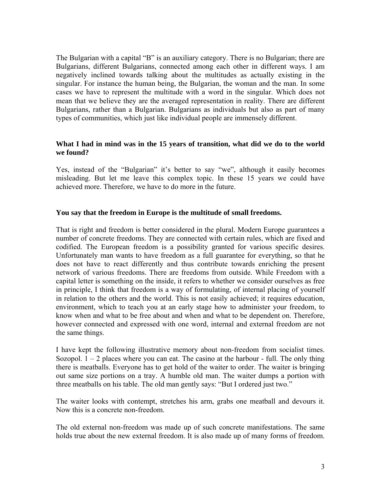The Bulgarian with a capital "B" is an auxiliary category. There is no Bulgarian; there are Bulgarians, different Bulgarians, connected among each other in different ways. I am negatively inclined towards talking about the multitudes as actually existing in the singular. For instance the human being, the Bulgarian, the woman and the man. In some cases we have to represent the multitude with a word in the singular. Which does not mean that we believe they are the averaged representation in reality. There are different Bulgarians, rather than a Bulgarian. Bulgarians as individuals but also as part of many types of communities, which just like individual people are immensely different.

## **What I had in mind was in the 15 years of transition, what did we do to the world we found?**

Yes, instead of the "Bulgarian" it's better to say "we", although it easily becomes misleading. But let me leave this complex topic. In these 15 years we could have achieved more. Therefore, we have to do more in the future.

## **You say that the freedom in Europe is the multitude of small freedoms.**

That is right and freedom is better considered in the plural. Modern Europe guarantees a number of concrete freedoms. They are connected with certain rules, which are fixed and codified. The European freedom is a possibility granted for various specific desires. Unfortunately man wants to have freedom as a full guarantee for everything, so that he does not have to react differently and thus contribute towards enriching the present network of various freedoms. There are freedoms from outside. While Freedom with a capital letter is something on the inside, it refers to whether we consider ourselves as free in principle, I think that freedom is a way of formulating, of internal placing of yourself in relation to the others and the world. This is not easily achieved; it requires education, environment, which to teach you at an early stage how to administer your freedom, to know when and what to be free about and when and what to be dependent on. Therefore, however connected and expressed with one word, internal and external freedom are not the same things.

I have kept the following illustrative memory about non-freedom from socialist times. Sozopol.  $1 - 2$  places where you can eat. The casino at the harbour - full. The only thing there is meatballs. Everyone has to get hold of the waiter to order. The waiter is bringing out same size portions on a tray. A humble old man. The waiter dumps a portion with three meatballs on his table. The old man gently says: "But I ordered just two."

The waiter looks with contempt, stretches his arm, grabs one meatball and devours it. Now this is a concrete non-freedom.

The old external non-freedom was made up of such concrete manifestations. The same holds true about the new external freedom. It is also made up of many forms of freedom.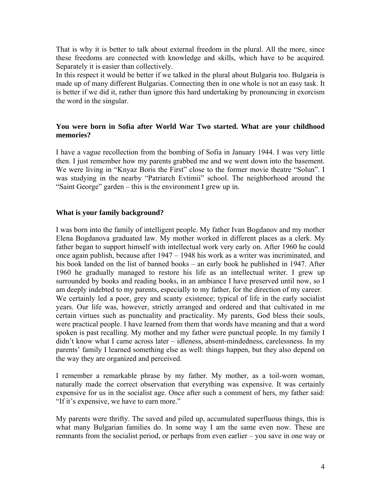That is why it is better to talk about external freedom in the plural. All the more, since these freedoms are connected with knowledge and skills, which have to be acquired. Separately it is easier than collectively.

In this respect it would be better if we talked in the plural about Bulgaria too. Bulgaria is made up of many different Bulgarias. Connecting then in one whole is not an easy task. It is better if we did it, rather than ignore this hard undertaking by pronouncing in exorcism the word in the singular.

# **You were born in Sofia after World War Two started. What are your childhood memories?**

I have a vague recollection from the bombing of Sofia in January 1944. I was very little then. I just remember how my parents grabbed me and we went down into the basement. We were living in "Knyaz Boris the First" close to the former movie theatre "Solun". I was studying in the nearby "Patriarch Evtimii" school. The neighborhood around the "Saint George" garden – this is the environment I grew up in.

## **What is your family background?**

I was born into the family of intelligent people. My father Ivan Bogdanov and my mother Elena Bogdanova graduated law. My mother worked in different places as a clerk. My father began to support himself with intellectual work very early on. After 1960 he could once again publish, because after 1947 – 1948 his work as a writer was incriminated, and his book landed on the list of banned books – an early book he published in 1947. After 1960 he gradually managed to restore his life as an intellectual writer. I grew up surrounded by books and reading books, in an ambiance I have preserved until now, so I am deeply indebted to my parents, especially to my father, for the direction of my career. We certainly led a poor, grey and scanty existence; typical of life in the early socialist years. Our life was, however, strictly arranged and ordered and that cultivated in me certain virtues such as punctuality and practicality. My parents, God bless their souls, were practical people. I have learned from them that words have meaning and that a word spoken is past recalling. My mother and my father were punctual people. In my family I didn't know what I came across later – idleness, absent-mindedness, carelessness. In my parents' family I learned something else as well: things happen, but they also depend on the way they are organized and perceived.

I remember a remarkable phrase by my father. My mother, as a toil-worn woman, naturally made the correct observation that everything was expensive. It was certainly expensive for us in the socialist age. Once after such a comment of hers, my father said: "If it's expensive, we have to earn more."

My parents were thrifty. The saved and piled up, accumulated superfluous things, this is what many Bulgarian families do. In some way I am the same even now. These are remnants from the socialist period, or perhaps from even earlier – you save in one way or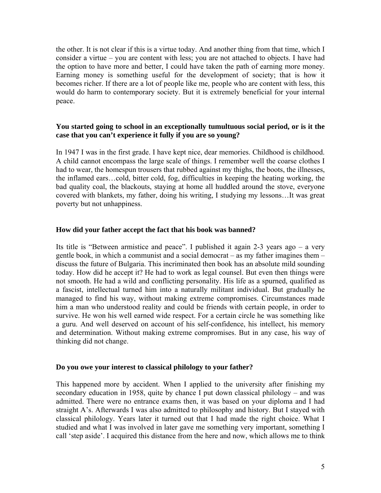the other. It is not clear if this is a virtue today. And another thing from that time, which I consider a virtue – you are content with less; you are not attached to objects. I have had the option to have more and better, I could have taken the path of earning more money. Earning money is something useful for the development of society; that is how it becomes richer. If there are a lot of people like me, people who are content with less, this would do harm to contemporary society. But it is extremely beneficial for your internal peace.

# **You started going to school in an exceptionally tumultuous social period, or is it the case that you can't experience it fully if you are so young?**

In 1947 I was in the first grade. I have kept nice, dear memories. Childhood is childhood. A child cannot encompass the large scale of things. I remember well the coarse clothes I had to wear, the homespun trousers that rubbed against my thighs, the boots, the illnesses, the inflamed ears…cold, bitter cold, fog, difficulties in keeping the heating working, the bad quality coal, the blackouts, staying at home all huddled around the stove, everyone covered with blankets, my father, doing his writing, I studying my lessons…It was great poverty but not unhappiness.

## **How did your father accept the fact that his book was banned?**

Its title is "Between armistice and peace". I published it again 2-3 years ago – a very gentle book, in which a communist and a social democrat – as my father imagines them – discuss the future of Bulgaria. This incriminated then book has an absolute mild sounding today. How did he accept it? He had to work as legal counsel. But even then things were not smooth. He had a wild and conflicting personality. His life as a spurned, qualified as a fascist, intellectual turned him into a naturally militant individual. But gradually he managed to find his way, without making extreme compromises. Circumstances made him a man who understood reality and could be friends with certain people, in order to survive. He won his well earned wide respect. For a certain circle he was something like a guru. And well deserved on account of his self-confidence, his intellect, his memory and determination. Without making extreme compromises. But in any case, his way of thinking did not change.

#### **Do you owe your interest to classical philology to your father?**

This happened more by accident. When I applied to the university after finishing my secondary education in 1958, quite by chance I put down classical philology – and was admitted. There were no entrance exams then, it was based on your diploma and I had straight A's. Afterwards I was also admitted to philosophy and history. But I stayed with classical philology. Years later it turned out that I had made the right choice. What I studied and what I was involved in later gave me something very important, something I call 'step aside'. I acquired this distance from the here and now, which allows me to think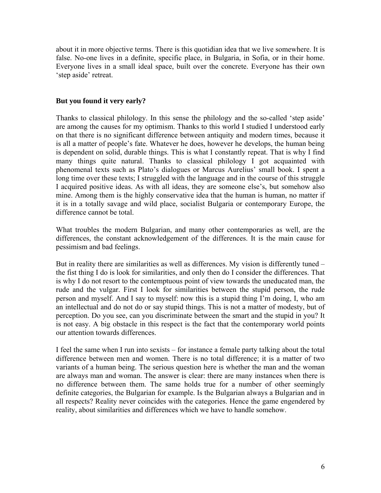about it in more objective terms. There is this quotidian idea that we live somewhere. It is false. No-one lives in a definite, specific place, in Bulgaria, in Sofia, or in their home. Everyone lives in a small ideal space, built over the concrete. Everyone has their own 'step aside' retreat.

# **But you found it very early?**

Thanks to classical philology. In this sense the philology and the so-called 'step aside' are among the causes for my optimism. Thanks to this world I studied I understood early on that there is no significant difference between antiquity and modern times, because it is all a matter of people's fate. Whatever he does, however he develops, the human being is dependent on solid, durable things. This is what I constantly repeat. That is why I find many things quite natural. Thanks to classical philology I got acquainted with phenomenal texts such as Plato's dialogues or Marcus Aurelius' small book. I spent a long time over these texts; I struggled with the language and in the course of this struggle I acquired positive ideas. As with all ideas, they are someone else's, but somehow also mine. Among them is the highly conservative idea that the human is human, no matter if it is in a totally savage and wild place, socialist Bulgaria or contemporary Europe, the difference cannot be total.

What troubles the modern Bulgarian, and many other contemporaries as well, are the differences, the constant acknowledgement of the differences. It is the main cause for pessimism and bad feelings.

But in reality there are similarities as well as differences. My vision is differently tuned – the fist thing I do is look for similarities, and only then do I consider the differences. That is why I do not resort to the contemptuous point of view towards the uneducated man, the rude and the vulgar. First I look for similarities between the stupid person, the rude person and myself. And I say to myself: now this is a stupid thing I'm doing, I, who am an intellectual and do not do or say stupid things. This is not a matter of modesty, but of perception. Do you see, can you discriminate between the smart and the stupid in you? It is not easy. A big obstacle in this respect is the fact that the contemporary world points our attention towards differences.

I feel the same when I run into sexists – for instance a female party talking about the total difference between men and women. There is no total difference; it is a matter of two variants of a human being. The serious question here is whether the man and the woman are always man and woman. The answer is clear: there are many instances when there is no difference between them. The same holds true for a number of other seemingly definite categories, the Bulgarian for example. Is the Bulgarian always a Bulgarian and in all respects? Reality never coincides with the categories. Hence the game engendered by reality, about similarities and differences which we have to handle somehow.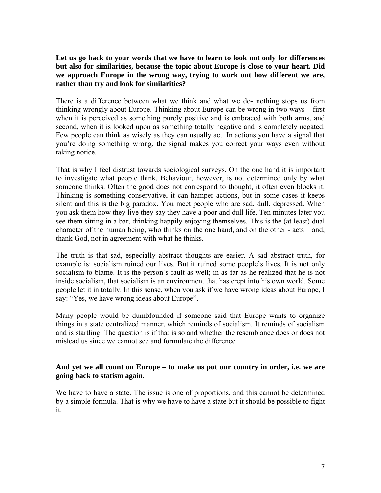**Let us go back to your words that we have to learn to look not only for differences but also for similarities, because the topic about Europe is close to your heart. Did we approach Europe in the wrong way, trying to work out how different we are, rather than try and look for similarities?** 

There is a difference between what we think and what we do- nothing stops us from thinking wrongly about Europe. Thinking about Europe can be wrong in two ways – first when it is perceived as something purely positive and is embraced with both arms, and second, when it is looked upon as something totally negative and is completely negated. Few people can think as wisely as they can usually act. In actions you have a signal that you're doing something wrong, the signal makes you correct your ways even without taking notice.

That is why I feel distrust towards sociological surveys. On the one hand it is important to investigate what people think. Behaviour, however, is not determined only by what someone thinks. Often the good does not correspond to thought, it often even blocks it. Thinking is something conservative, it can hamper actions, but in some cases it keeps silent and this is the big paradox. You meet people who are sad, dull, depressed. When you ask them how they live they say they have a poor and dull life. Ten minutes later you see them sitting in a bar, drinking happily enjoying themselves. This is the (at least) dual character of the human being, who thinks on the one hand, and on the other - acts – and, thank God, not in agreement with what he thinks.

The truth is that sad, especially abstract thoughts are easier. A sad abstract truth, for example is: socialism ruined our lives. But it ruined some people's lives. It is not only socialism to blame. It is the person's fault as well; in as far as he realized that he is not inside socialism, that socialism is an environment that has crept into his own world. Some people let it in totally. In this sense, when you ask if we have wrong ideas about Europe, I say: "Yes, we have wrong ideas about Europe".

Many people would be dumbfounded if someone said that Europe wants to organize things in a state centralized manner, which reminds of socialism. It reminds of socialism and is startling. The question is if that is so and whether the resemblance does or does not mislead us since we cannot see and formulate the difference.

## **And yet we all count on Europe – to make us put our country in order, i.e. we are going back to statism again.**

We have to have a state. The issue is one of proportions, and this cannot be determined by a simple formula. That is why we have to have a state but it should be possible to fight it.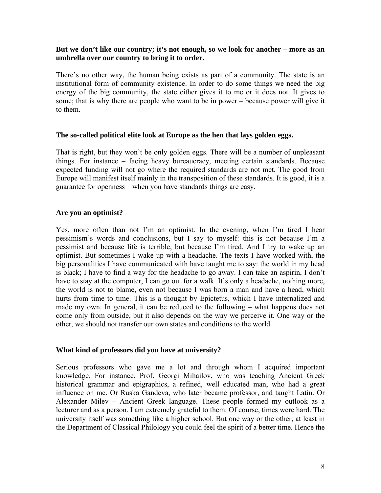## **But we don't like our country; it's not enough, so we look for another – more as an umbrella over our country to bring it to order.**

There's no other way, the human being exists as part of a community. The state is an institutional form of community existence. In order to do some things we need the big energy of the big community, the state either gives it to me or it does not. It gives to some; that is why there are people who want to be in power – because power will give it to them.

#### **The so-called political elite look at Europe as the hen that lays golden eggs.**

That is right, but they won't be only golden eggs. There will be a number of unpleasant things. For instance – facing heavy bureaucracy, meeting certain standards. Because expected funding will not go where the required standards are not met. The good from Europe will manifest itself mainly in the transposition of these standards. It is good, it is a guarantee for openness – when you have standards things are easy.

## **Are you an optimist?**

Yes, more often than not I'm an optimist. In the evening, when I'm tired I hear pessimism's words and conclusions, but I say to myself: this is not because I'm a pessimist and because life is terrible, but because I'm tired. And I try to wake up an optimist. But sometimes I wake up with a headache. The texts I have worked with, the big personalities I have communicated with have taught me to say: the world in my head is black; I have to find a way for the headache to go away. I can take an aspirin, I don't have to stay at the computer, I can go out for a walk. It's only a headache, nothing more, the world is not to blame, even not because I was born a man and have a head, which hurts from time to time. This is a thought by Epictetus, which I have internalized and made my own. In general, it can be reduced to the following – what happens does not come only from outside, but it also depends on the way we perceive it. One way or the other, we should not transfer our own states and conditions to the world.

#### **What kind of professors did you have at university?**

Serious professors who gave me a lot and through whom I acquired important knowledge. For instance, Prof. Georgi Mihailov, who was teaching Ancient Greek historical grammar and epigraphics, a refined, well educated man, who had a great influence on me. Or Ruska Gandeva, who later became professor, and taught Latin. Or Alexander Milev – Ancient Greek language. These people formed my outlook as a lecturer and as a person. I am extremely grateful to them. Of course, times were hard. The university itself was something like a higher school. But one way or the other, at least in the Department of Classical Philology you could feel the spirit of a better time. Hence the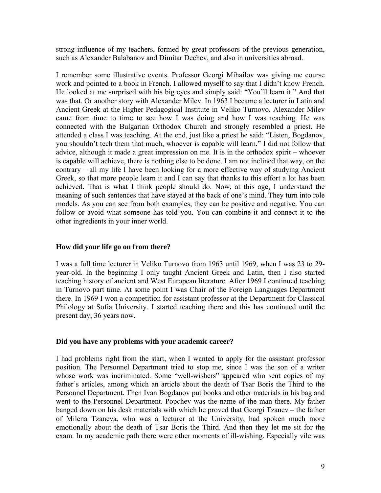strong influence of my teachers, formed by great professors of the previous generation, such as Alexander Balabanov and Dimitar Dechev, and also in universities abroad.

I remember some illustrative events. Professor Georgi Mihailov was giving me course work and pointed to a book in French. I allowed myself to say that I didn't know French. He looked at me surprised with his big eyes and simply said: "You'll learn it." And that was that. Or another story with Alexander Milev. In 1963 I became a lecturer in Latin and Ancient Greek at the Higher Pedagogical Institute in Veliko Turnovo. Alexander Milev came from time to time to see how I was doing and how I was teaching. He was connected with the Bulgarian Orthodox Church and strongly resembled a priest. He attended a class I was teaching. At the end, just like a priest he said: "Listen, Bogdanov, you shouldn't tech them that much, whoever is capable will learn." I did not follow that advice, although it made a great impression on me. It is in the orthodox spirit – whoever is capable will achieve, there is nothing else to be done. I am not inclined that way, on the contrary – all my life I have been looking for a more effective way of studying Ancient Greek, so that more people learn it and I can say that thanks to this effort a lot has been achieved. That is what I think people should do. Now, at this age, I understand the meaning of such sentences that have stayed at the back of one's mind. They turn into role models. As you can see from both examples, they can be positive and negative. You can follow or avoid what someone has told you. You can combine it and connect it to the other ingredients in your inner world.

# **How did your life go on from there?**

I was a full time lecturer in Veliko Turnovo from 1963 until 1969, when I was 23 to 29 year-old. In the beginning I only taught Ancient Greek and Latin, then I also started teaching history of ancient and West European literature. After 1969 I continued teaching in Turnovo part time. At some point I was Chair of the Foreign Languages Department there. In 1969 I won a competition for assistant professor at the Department for Classical Philology at Sofia University. I started teaching there and this has continued until the present day, 36 years now.

## **Did you have any problems with your academic career?**

I had problems right from the start, when I wanted to apply for the assistant professor position. The Personnel Department tried to stop me, since I was the son of a writer whose work was incriminated. Some "well-wishers" appeared who sent copies of my father's articles, among which an article about the death of Tsar Boris the Third to the Personnel Department. Then Ivan Bogdanov put books and other materials in his bag and went to the Personnel Department. Popchev was the name of the man there. My father banged down on his desk materials with which he proved that Georgi Tzanev – the father of Milena Tzaneva, who was a lecturer at the University, had spoken much more emotionally about the death of Tsar Boris the Third. And then they let me sit for the exam. In my academic path there were other moments of ill-wishing. Especially vile was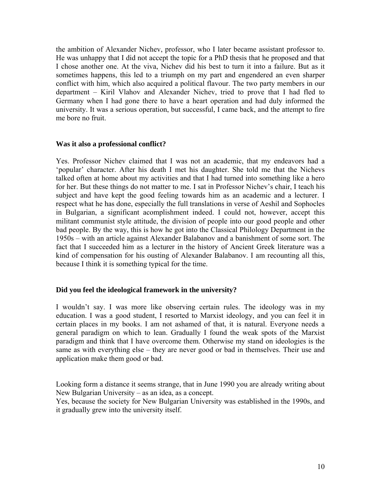the ambition of Alexander Nichev, professor, who I later became assistant professor to. He was unhappy that I did not accept the topic for a PhD thesis that he proposed and that I chose another one. At the viva, Nichev did his best to turn it into a failure. But as it sometimes happens, this led to a triumph on my part and engendered an even sharper conflict with him, which also acquired a political flavour. The two party members in our department – Kiril Vlahov and Alexander Nichev, tried to prove that I had fled to Germany when I had gone there to have a heart operation and had duly informed the university. It was a serious operation, but successful, I came back, and the attempt to fire me bore no fruit.

#### **Was it also a professional conflict?**

Yes. Professor Nichev claimed that I was not an academic, that my endeavors had a 'popular' character. After his death I met his daughter. She told me that the Nichevs talked often at home about my activities and that I had turned into something like a hero for her. But these things do not matter to me. I sat in Professor Nichev's chair, I teach his subject and have kept the good feeling towards him as an academic and a lecturer. I respect what he has done, especially the full translations in verse of Aeshil and Sophocles in Bulgarian, a significant acomplishment indeed. I could not, however, accept this militant communist style attitude, the division of people into our good people and other bad people. By the way, this is how he got into the Classical Philology Department in the 1950s – with an article against Alexander Balabanov and a banishment of some sort. The fact that I succeeded him as a lecturer in the history of Ancient Greek literature was a kind of compensation for his ousting of Alexander Balabanov. I am recounting all this, because I think it is something typical for the time.

## **Did you feel the ideological framework in the university?**

I wouldn't say. I was more like observing certain rules. The ideology was in my education. I was a good student, I resorted to Marxist ideology, and you can feel it in certain places in my books. I am not ashamed of that, it is natural. Everyone needs a general paradigm on which to lean. Gradually I found the weak spots of the Marxist paradigm and think that I have overcome them. Otherwise my stand on ideologies is the same as with everything else – they are never good or bad in themselves. Their use and application make them good or bad.

Looking form a distance it seems strange, that in June 1990 you are already writing about New Bulgarian University – as an idea, as a concept.

Yes, because the society for New Bulgarian University was established in the 1990s, and it gradually grew into the university itself.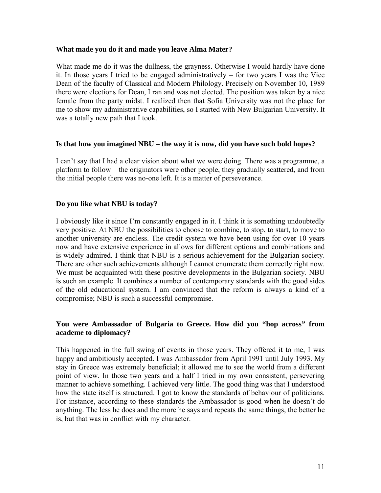## **What made you do it and made you leave Alma Mater?**

What made me do it was the dullness, the grayness. Otherwise I would hardly have done it. In those years I tried to be engaged administratively – for two years I was the Vice Dean of the faculty of Classical and Modern Philology. Precisely on November 10, 1989 there were elections for Dean, I ran and was not elected. The position was taken by a nice female from the party midst. I realized then that Sofia University was not the place for me to show my administrative capabilities, so I started with New Bulgarian University. It was a totally new path that I took.

## **Is that how you imagined NBU – the way it is now, did you have such bold hopes?**

I can't say that I had a clear vision about what we were doing. There was a programme, a platform to follow – the originators were other people, they gradually scattered, and from the initial people there was no-one left. It is a matter of perseverance.

## **Do you like what NBU is today?**

I obviously like it since I'm constantly engaged in it. I think it is something undoubtedly very positive. At NBU the possibilities to choose to combine, to stop, to start, to move to another university are endless. The credit system we have been using for over 10 years now and have extensive experience in allows for different options and combinations and is widely admired. I think that NBU is a serious achievement for the Bulgarian society. There are other such achievements although I cannot enumerate them correctly right now. We must be acquainted with these positive developments in the Bulgarian society. NBU is such an example. It combines a number of contemporary standards with the good sides of the old educational system. I am convinced that the reform is always a kind of a compromise; NBU is such a successful compromise.

## **You were Ambassador of Bulgaria to Greece. How did you "hop across" from academe to diplomacy?**

Тhis happened in the full swing of events in those years. They offered it to me, I was happy and ambitiously accepted. I was Ambassador from April 1991 until July 1993. My stay in Greece was extremely beneficial; it allowed me to see the world from a different point of view. In those two years and a half I tried in my own consistent, persevering manner to achieve something. I achieved very little. The good thing was that I understood how the state itself is structured. I got to know the standards of behaviour of politicians. For instance, according to these standards the Ambassador is good when he doesn't do anything. The less he does and the more he says and repeats the same things, the better he is, but that was in conflict with my character.